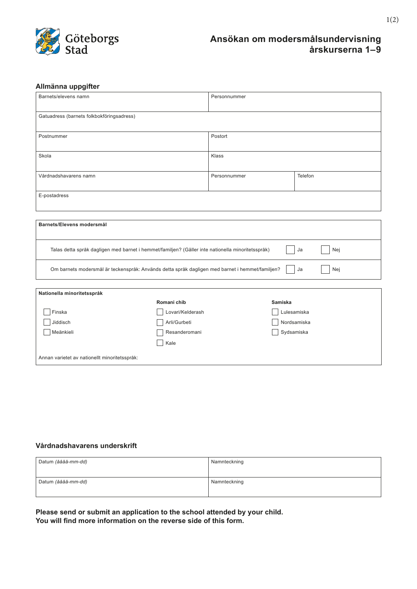

## **Ansökan om modersmålsundervisning årskurserna 1–9**

### **Allmänna uppgifter**

| Barnets/elevens namn                                                                                           |                  | Personnummer |             |  |
|----------------------------------------------------------------------------------------------------------------|------------------|--------------|-------------|--|
| Gatuadress (barnets folkbokföringsadress)                                                                      |                  |              |             |  |
| Postnummer                                                                                                     |                  | Postort      |             |  |
| Skola                                                                                                          |                  | Klass        |             |  |
| Vårdnadshavarens namn                                                                                          |                  | Personnummer | Telefon     |  |
| E-postadress                                                                                                   |                  |              |             |  |
|                                                                                                                |                  |              |             |  |
| Barnets/Elevens modersmål                                                                                      |                  |              |             |  |
| Talas detta språk dagligen med barnet i hemmet/familjen? (Gäller inte nationella minoritetsspråk)<br>Ja<br>Nej |                  |              |             |  |
| Om barnets modersmål är teckenspråk: Används detta språk dagligen med barnet i hemmet/familjen?<br>Nej<br>Ja   |                  |              |             |  |
|                                                                                                                |                  |              |             |  |
| Nationella minoritetsspråk<br>Romani chib<br><b>Samiska</b>                                                    |                  |              |             |  |
| Finska                                                                                                         | Lovari/Kelderash |              | Lulesamiska |  |
| Jiddisch                                                                                                       | Arli/Gurbeti     |              | Nordsamiska |  |
| Meänkieli                                                                                                      | Resanderomani    |              | Sydsamiska  |  |
| Kale                                                                                                           |                  |              |             |  |
| Annan varietet av nationellt minoritetsspråk:                                                                  |                  |              |             |  |

#### **Vårdnadshavarens underskrift**

| Datum (åååå-mm-dd) | Namnteckning |
|--------------------|--------------|
| Datum (åååå-mm-dd) | Namnteckning |

**Please send or submit an application to the school attended by your child. You will find more information on the reverse side of this form.**